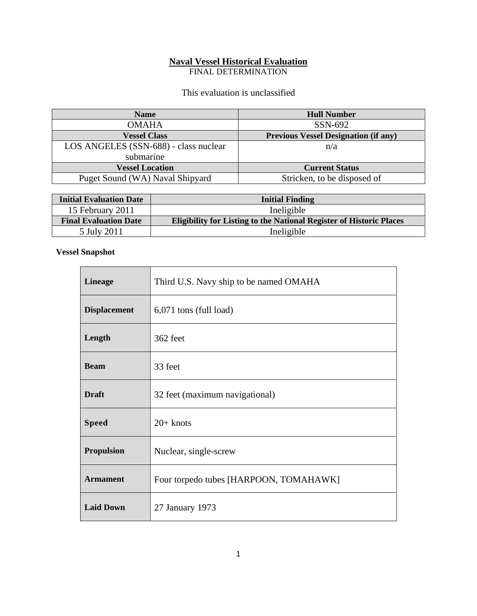## **Naval Vessel Historical Evaluation**

FINAL DETERMINATION

#### This evaluation is unclassified

| <b>Name</b>                           | <b>Hull Number</b>                          |
|---------------------------------------|---------------------------------------------|
| <b>OMAHA</b>                          | SSN-692                                     |
| <b>Vessel Class</b>                   | <b>Previous Vessel Designation (if any)</b> |
| LOS ANGELES (SSN-688) - class nuclear | n/a                                         |
| submarine                             |                                             |
| <b>Vessel Location</b>                | <b>Current Status</b>                       |
| Puget Sound (WA) Naval Shipyard       | Stricken, to be disposed of                 |

| <b>Initial Evaluation Date</b> | <b>Initial Finding</b>                                                     |
|--------------------------------|----------------------------------------------------------------------------|
| 15 February 2011               | Ineligible                                                                 |
| <b>Final Evaluation Date</b>   | <b>Eligibility for Listing to the National Register of Historic Places</b> |
| 5 July 2011                    | Ineligible                                                                 |

#### **Vessel Snapshot**

| <b>Lineage</b>      | Third U.S. Navy ship to be named OMAHA |
|---------------------|----------------------------------------|
| <b>Displacement</b> | $6,071$ tons (full load)               |
| Length              | 362 feet                               |
| <b>Beam</b>         | 33 feet                                |
| <b>Draft</b>        | 32 feet (maximum navigational)         |
| <b>Speed</b>        | $20+$ knots                            |
| <b>Propulsion</b>   | Nuclear, single-screw                  |
| <b>Armament</b>     | Four torpedo tubes [HARPOON, TOMAHAWK] |
| <b>Laid Down</b>    | 27 January 1973                        |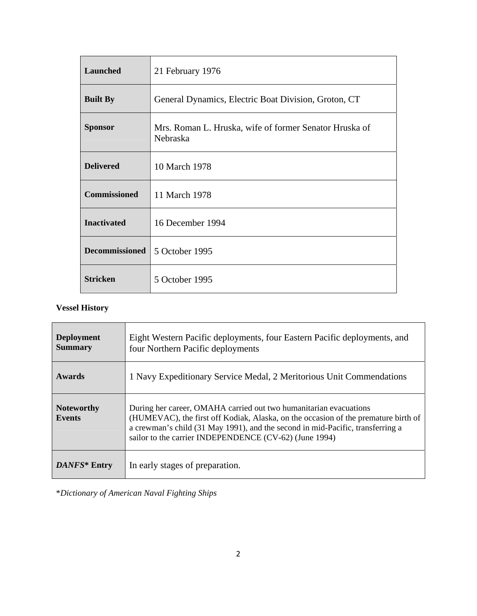| <b>Launched</b>       | 21 February 1976                                                   |
|-----------------------|--------------------------------------------------------------------|
| <b>Built By</b>       | General Dynamics, Electric Boat Division, Groton, CT               |
| <b>Sponsor</b>        | Mrs. Roman L. Hruska, wife of former Senator Hruska of<br>Nebraska |
| <b>Delivered</b>      | 10 March 1978                                                      |
| <b>Commissioned</b>   | 11 March 1978                                                      |
| <b>Inactivated</b>    | 16 December 1994                                                   |
| <b>Decommissioned</b> | 5 October 1995                                                     |
| <b>Stricken</b>       | 5 October 1995                                                     |

### **Vessel History**

| <b>Deployment</b><br><b>Summary</b> | Eight Western Pacific deployments, four Eastern Pacific deployments, and<br>four Northern Pacific deployments                                                                                                                                                                                       |
|-------------------------------------|-----------------------------------------------------------------------------------------------------------------------------------------------------------------------------------------------------------------------------------------------------------------------------------------------------|
| <b>Awards</b>                       | 1 Navy Expeditionary Service Medal, 2 Meritorious Unit Commendations                                                                                                                                                                                                                                |
| <b>Noteworthy</b><br><b>Events</b>  | During her career, OMAHA carried out two humanitarian evacuations<br>(HUMEVAC), the first off Kodiak, Alaska, on the occasion of the premature birth of<br>a crewman's child (31 May 1991), and the second in mid-Pacific, transferring a<br>sailor to the carrier INDEPENDENCE (CV-62) (June 1994) |
| DANFS* Entry                        | In early stages of preparation.                                                                                                                                                                                                                                                                     |

\**Dictionary of American Naval Fighting Ships*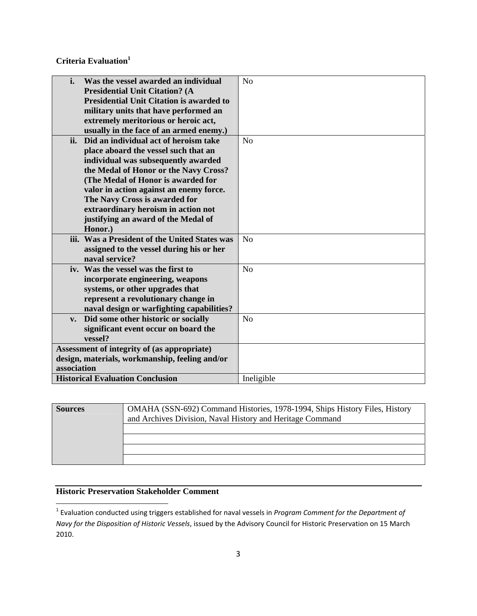**Criteria Evaluation**<sup>1</sup>

| i.<br>Was the vessel awarded an individual           | N <sub>o</sub> |
|------------------------------------------------------|----------------|
| <b>Presidential Unit Citation? (A</b>                |                |
| <b>Presidential Unit Citation is awarded to</b>      |                |
| military units that have performed an                |                |
| extremely meritorious or heroic act,                 |                |
| usually in the face of an armed enemy.)              |                |
| Did an individual act of heroism take<br>ii.         | No             |
| place aboard the vessel such that an                 |                |
| individual was subsequently awarded                  |                |
| the Medal of Honor or the Navy Cross?                |                |
| (The Medal of Honor is awarded for                   |                |
| valor in action against an enemy force.              |                |
| The Navy Cross is awarded for                        |                |
| extraordinary heroism in action not                  |                |
| justifying an award of the Medal of                  |                |
| Honor.)                                              |                |
| iii. Was a President of the United States was        | N <sub>o</sub> |
| assigned to the vessel during his or her             |                |
| naval service?                                       |                |
| iv. Was the vessel was the first to                  | N <sub>o</sub> |
| incorporate engineering, weapons                     |                |
| systems, or other upgrades that                      |                |
| represent a revolutionary change in                  |                |
| naval design or warfighting capabilities?            |                |
| Did some other historic or socially<br>$V_{\bullet}$ | N <sub>o</sub> |
| significant event occur on board the                 |                |
| vessel?                                              |                |
| Assessment of integrity of (as appropriate)          |                |
| design, materials, workmanship, feeling and/or       |                |
| association                                          |                |
| <b>Historical Evaluation Conclusion</b>              | Ineligible     |

| <b>Sources</b> | OMAHA (SSN-692) Command Histories, 1978-1994, Ships History Files, History<br>and Archives Division, Naval History and Heritage Command |
|----------------|-----------------------------------------------------------------------------------------------------------------------------------------|
|                |                                                                                                                                         |
|                |                                                                                                                                         |
|                |                                                                                                                                         |
|                |                                                                                                                                         |

# **Historic Preservation Stakeholder Comment**

<sup>1</sup> Evaluation conducted using triggers established for naval vessels in *Program Comment for the Department of Navy for the Disposition of Historic Vessels*, issued by the Advisory Council for Historic Preservation on 15 March 2010.